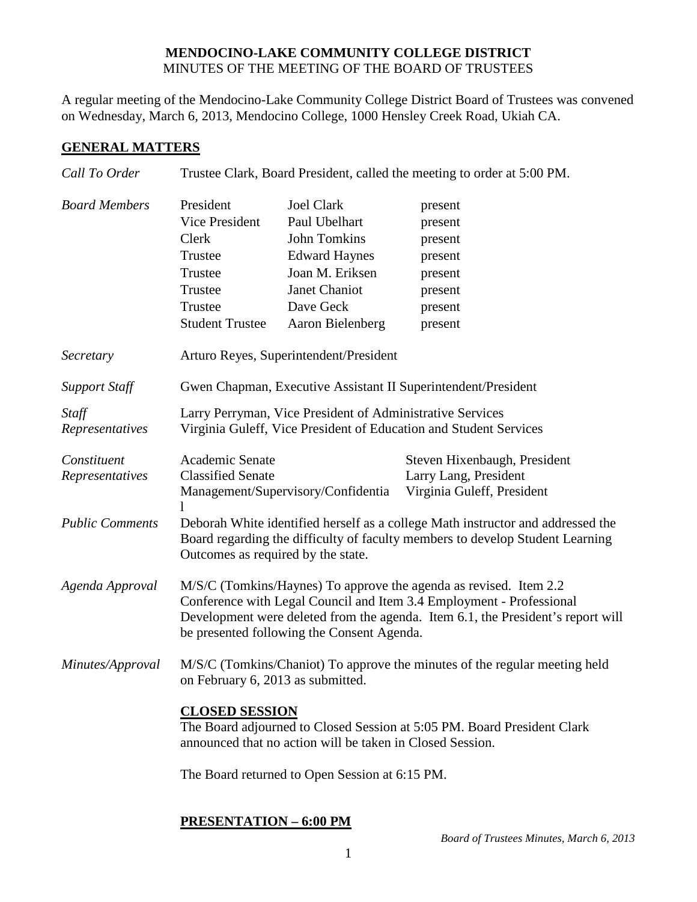#### **MENDOCINO-LAKE COMMUNITY COLLEGE DISTRICT** MINUTES OF THE MEETING OF THE BOARD OF TRUSTEES

A regular meeting of the Mendocino-Lake Community College District Board of Trustees was convened on Wednesday, March 6, 2013, Mendocino College, 1000 Hensley Creek Road, Ukiah CA.

### **GENERAL MATTERS**

| Call To Order                  | Trustee Clark, Board President, called the meeting to order at 5:00 PM.                                                                                                                                                                                                    |                                                                                                                                                        |                                                                                      |  |
|--------------------------------|----------------------------------------------------------------------------------------------------------------------------------------------------------------------------------------------------------------------------------------------------------------------------|--------------------------------------------------------------------------------------------------------------------------------------------------------|--------------------------------------------------------------------------------------|--|
| <b>Board Members</b>           | President<br>Vice President<br>Clerk<br>Trustee<br>Trustee<br>Trustee<br>Trustee<br><b>Student Trustee</b>                                                                                                                                                                 | <b>Joel Clark</b><br>Paul Ubelhart<br><b>John Tomkins</b><br><b>Edward Haynes</b><br>Joan M. Eriksen<br>Janet Chaniot<br>Dave Geck<br>Aaron Bielenberg | present<br>present<br>present<br>present<br>present<br>present<br>present<br>present |  |
| Secretary                      | Arturo Reyes, Superintendent/President                                                                                                                                                                                                                                     |                                                                                                                                                        |                                                                                      |  |
| <b>Support Staff</b>           | Gwen Chapman, Executive Assistant II Superintendent/President                                                                                                                                                                                                              |                                                                                                                                                        |                                                                                      |  |
| Staff<br>Representatives       | Larry Perryman, Vice President of Administrative Services<br>Virginia Guleff, Vice President of Education and Student Services                                                                                                                                             |                                                                                                                                                        |                                                                                      |  |
| Constituent<br>Representatives | Academic Senate<br><b>Classified Senate</b><br>1                                                                                                                                                                                                                           | Management/Supervisory/Confidentia                                                                                                                     | Steven Hixenbaugh, President<br>Larry Lang, President<br>Virginia Guleff, President  |  |
| <b>Public Comments</b>         | Deborah White identified herself as a college Math instructor and addressed the<br>Board regarding the difficulty of faculty members to develop Student Learning<br>Outcomes as required by the state.                                                                     |                                                                                                                                                        |                                                                                      |  |
| Agenda Approval                | M/S/C (Tomkins/Haynes) To approve the agenda as revised. Item 2.2<br>Conference with Legal Council and Item 3.4 Employment - Professional<br>Development were deleted from the agenda. Item 6.1, the President's report will<br>be presented following the Consent Agenda. |                                                                                                                                                        |                                                                                      |  |
| Minutes/Approval               | M/S/C (Tomkins/Chaniot) To approve the minutes of the regular meeting held<br>on February 6, 2013 as submitted.                                                                                                                                                            |                                                                                                                                                        |                                                                                      |  |
|                                | <b>CLOSED SESSION</b><br>The Board adjourned to Closed Session at 5:05 PM. Board President Clark<br>announced that no action will be taken in Closed Session.                                                                                                              |                                                                                                                                                        |                                                                                      |  |
|                                |                                                                                                                                                                                                                                                                            | The Board returned to Open Session at 6:15 PM.                                                                                                         |                                                                                      |  |

## **PRESENTATION – 6:00 PM**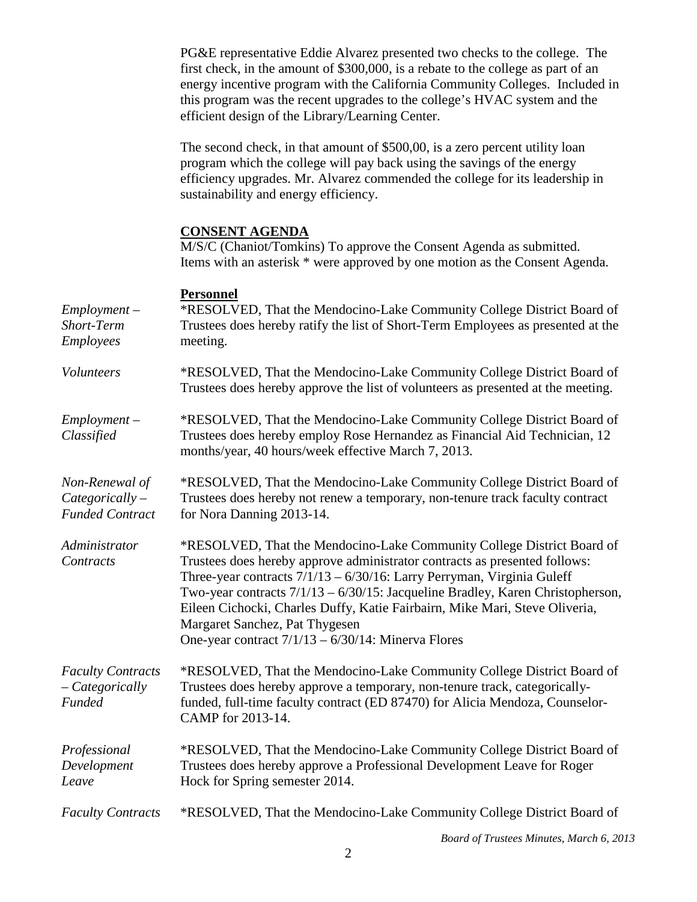PG&E representative Eddie Alvarez presented two checks to the college. The first check, in the amount of \$300,000, is a rebate to the college as part of an energy incentive program with the California Community Colleges. Included in this program was the recent upgrades to the college's HVAC system and the efficient design of the Library/Learning Center.

The second check, in that amount of \$500,00, is a zero percent utility loan program which the college will pay back using the savings of the energy efficiency upgrades. Mr. Alvarez commended the college for its leadership in sustainability and energy efficiency.

#### **CONSENT AGENDA**

M/S/C (Chaniot/Tomkins) To approve the Consent Agenda as submitted. Items with an asterisk \* were approved by one motion as the Consent Agenda.

#### **Personnel**

| $Employment -$<br>Short-Term<br><b>Employees</b>              | *RESOLVED, That the Mendocino-Lake Community College District Board of<br>Trustees does hereby ratify the list of Short-Term Employees as presented at the<br>meeting.                                                                                                                                                                                                                                                                                                                     |
|---------------------------------------------------------------|--------------------------------------------------------------------------------------------------------------------------------------------------------------------------------------------------------------------------------------------------------------------------------------------------------------------------------------------------------------------------------------------------------------------------------------------------------------------------------------------|
| Volunteers                                                    | *RESOLVED, That the Mendocino-Lake Community College District Board of<br>Trustees does hereby approve the list of volunteers as presented at the meeting.                                                                                                                                                                                                                                                                                                                                 |
| $Employment -$<br>Classified                                  | *RESOLVED, That the Mendocino-Lake Community College District Board of<br>Trustees does hereby employ Rose Hernandez as Financial Aid Technician, 12<br>months/year, 40 hours/week effective March 7, 2013.                                                                                                                                                                                                                                                                                |
| Non-Renewal of<br>$Categorically -$<br><b>Funded Contract</b> | *RESOLVED, That the Mendocino-Lake Community College District Board of<br>Trustees does hereby not renew a temporary, non-tenure track faculty contract<br>for Nora Danning 2013-14.                                                                                                                                                                                                                                                                                                       |
| Administrator<br>Contracts                                    | *RESOLVED, That the Mendocino-Lake Community College District Board of<br>Trustees does hereby approve administrator contracts as presented follows:<br>Three-year contracts 7/1/13 - 6/30/16: Larry Perryman, Virginia Guleff<br>Two-year contracts 7/1/13 - 6/30/15: Jacqueline Bradley, Karen Christopherson,<br>Eileen Cichocki, Charles Duffy, Katie Fairbairn, Mike Mari, Steve Oliveria,<br>Margaret Sanchez, Pat Thygesen<br>One-year contract $7/1/13 - 6/30/14$ : Minerva Flores |
| <b>Faculty Contracts</b><br>$-$ Categorically<br>Funded       | *RESOLVED, That the Mendocino-Lake Community College District Board of<br>Trustees does hereby approve a temporary, non-tenure track, categorically-<br>funded, full-time faculty contract (ED 87470) for Alicia Mendoza, Counselor-<br>CAMP for 2013-14.                                                                                                                                                                                                                                  |
| Professional<br>Development<br>Leave                          | *RESOLVED, That the Mendocino-Lake Community College District Board of<br>Trustees does hereby approve a Professional Development Leave for Roger<br>Hock for Spring semester 2014.                                                                                                                                                                                                                                                                                                        |
| <b>Faculty Contracts</b>                                      | *RESOLVED, That the Mendocino-Lake Community College District Board of                                                                                                                                                                                                                                                                                                                                                                                                                     |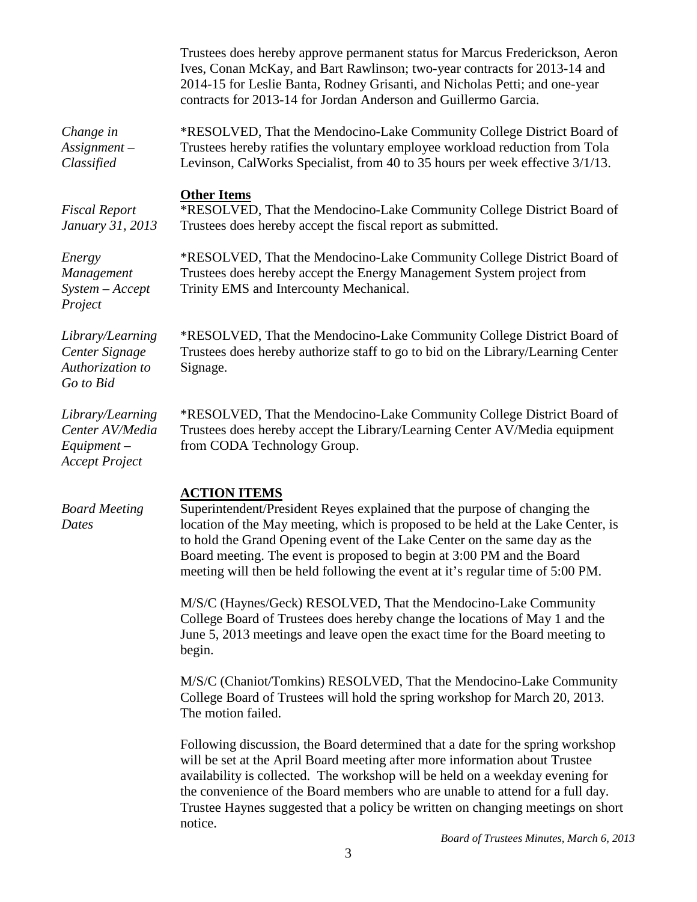|                                                                               | Trustees does hereby approve permanent status for Marcus Frederickson, Aeron<br>Ives, Conan McKay, and Bart Rawlinson; two-year contracts for 2013-14 and<br>2014-15 for Leslie Banta, Rodney Grisanti, and Nicholas Petti; and one-year<br>contracts for 2013-14 for Jordan Anderson and Guillermo Garcia.                                                                                                                   |
|-------------------------------------------------------------------------------|-------------------------------------------------------------------------------------------------------------------------------------------------------------------------------------------------------------------------------------------------------------------------------------------------------------------------------------------------------------------------------------------------------------------------------|
| Change in<br>$Assignment-$<br>Classified                                      | *RESOLVED, That the Mendocino-Lake Community College District Board of<br>Trustees hereby ratifies the voluntary employee workload reduction from Tola<br>Levinson, CalWorks Specialist, from 40 to 35 hours per week effective 3/1/13.                                                                                                                                                                                       |
| <b>Fiscal Report</b><br>January 31, 2013                                      | <b>Other Items</b><br>*RESOLVED, That the Mendocino-Lake Community College District Board of<br>Trustees does hereby accept the fiscal report as submitted.                                                                                                                                                                                                                                                                   |
| Energy<br>Management<br>$System - Accept$<br>Project                          | *RESOLVED, That the Mendocino-Lake Community College District Board of<br>Trustees does hereby accept the Energy Management System project from<br>Trinity EMS and Intercounty Mechanical.                                                                                                                                                                                                                                    |
| Library/Learning<br>Center Signage<br>Authorization to<br>Go to Bid           | *RESOLVED, That the Mendocino-Lake Community College District Board of<br>Trustees does hereby authorize staff to go to bid on the Library/Learning Center<br>Signage.                                                                                                                                                                                                                                                        |
| Library/Learning<br>Center AV/Media<br>$Equipment -$<br><b>Accept Project</b> | *RESOLVED, That the Mendocino-Lake Community College District Board of<br>Trustees does hereby accept the Library/Learning Center AV/Media equipment<br>from CODA Technology Group.                                                                                                                                                                                                                                           |
| <b>Board Meeting</b><br>Dates                                                 | <b>ACTION ITEMS</b><br>Superintendent/President Reyes explained that the purpose of changing the<br>location of the May meeting, which is proposed to be held at the Lake Center, is<br>to hold the Grand Opening event of the Lake Center on the same day as the<br>Board meeting. The event is proposed to begin at 3:00 PM and the Board<br>meeting will then be held following the event at it's regular time of 5:00 PM. |
|                                                                               | M/S/C (Haynes/Geck) RESOLVED, That the Mendocino-Lake Community<br>College Board of Trustees does hereby change the locations of May 1 and the<br>June 5, 2013 meetings and leave open the exact time for the Board meeting to<br>begin.                                                                                                                                                                                      |
|                                                                               | M/S/C (Chaniot/Tomkins) RESOLVED, That the Mendocino-Lake Community<br>College Board of Trustees will hold the spring workshop for March 20, 2013.<br>The motion failed.                                                                                                                                                                                                                                                      |

Following discussion, the Board determined that a date for the spring workshop will be set at the April Board meeting after more information about Trustee availability is collected. The workshop will be held on a weekday evening for the convenience of the Board members who are unable to attend for a full day. Trustee Haynes suggested that a policy be written on changing meetings on short notice.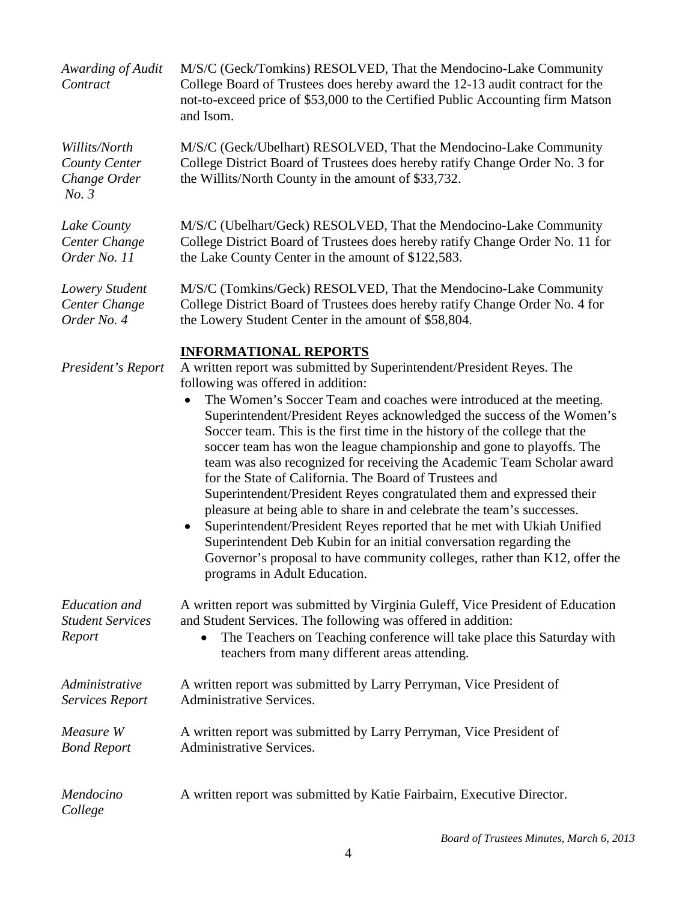| Awarding of Audit<br>Contract                           | M/S/C (Geck/Tomkins) RESOLVED, That the Mendocino-Lake Community<br>College Board of Trustees does hereby award the 12-13 audit contract for the<br>not-to-exceed price of \$53,000 to the Certified Public Accounting firm Matson<br>and Isom.                                                                                                                                                                                                                                                                                                                                                                                                                                                                                                                                                                                                                                                                                                                                                                       |
|---------------------------------------------------------|-----------------------------------------------------------------------------------------------------------------------------------------------------------------------------------------------------------------------------------------------------------------------------------------------------------------------------------------------------------------------------------------------------------------------------------------------------------------------------------------------------------------------------------------------------------------------------------------------------------------------------------------------------------------------------------------------------------------------------------------------------------------------------------------------------------------------------------------------------------------------------------------------------------------------------------------------------------------------------------------------------------------------|
| Willits/North<br>County Center<br>Change Order<br>No. 3 | M/S/C (Geck/Ubelhart) RESOLVED, That the Mendocino-Lake Community<br>College District Board of Trustees does hereby ratify Change Order No. 3 for<br>the Willits/North County in the amount of \$33,732.                                                                                                                                                                                                                                                                                                                                                                                                                                                                                                                                                                                                                                                                                                                                                                                                              |
| Lake County<br>Center Change<br>Order No. 11            | M/S/C (Ubelhart/Geck) RESOLVED, That the Mendocino-Lake Community<br>College District Board of Trustees does hereby ratify Change Order No. 11 for<br>the Lake County Center in the amount of \$122,583.                                                                                                                                                                                                                                                                                                                                                                                                                                                                                                                                                                                                                                                                                                                                                                                                              |
| Lowery Student<br>Center Change<br>Order No. 4          | M/S/C (Tomkins/Geck) RESOLVED, That the Mendocino-Lake Community<br>College District Board of Trustees does hereby ratify Change Order No. 4 for<br>the Lowery Student Center in the amount of \$58,804.                                                                                                                                                                                                                                                                                                                                                                                                                                                                                                                                                                                                                                                                                                                                                                                                              |
| President's Report                                      | <b>INFORMATIONAL REPORTS</b><br>A written report was submitted by Superintendent/President Reyes. The<br>following was offered in addition:<br>The Women's Soccer Team and coaches were introduced at the meeting.<br>$\bullet$<br>Superintendent/President Reyes acknowledged the success of the Women's<br>Soccer team. This is the first time in the history of the college that the<br>soccer team has won the league championship and gone to playoffs. The<br>team was also recognized for receiving the Academic Team Scholar award<br>for the State of California. The Board of Trustees and<br>Superintendent/President Reyes congratulated them and expressed their<br>pleasure at being able to share in and celebrate the team's successes.<br>Superintendent/President Reyes reported that he met with Ukiah Unified<br>Superintendent Deb Kubin for an initial conversation regarding the<br>Governor's proposal to have community colleges, rather than K12, offer the<br>programs in Adult Education. |
| Education and<br><b>Student Services</b><br>Report      | A written report was submitted by Virginia Guleff, Vice President of Education<br>and Student Services. The following was offered in addition:<br>The Teachers on Teaching conference will take place this Saturday with<br>٠<br>teachers from many different areas attending.                                                                                                                                                                                                                                                                                                                                                                                                                                                                                                                                                                                                                                                                                                                                        |
| Administrative<br>Services Report                       | A written report was submitted by Larry Perryman, Vice President of<br><b>Administrative Services.</b>                                                                                                                                                                                                                                                                                                                                                                                                                                                                                                                                                                                                                                                                                                                                                                                                                                                                                                                |
| Measure W<br><b>Bond Report</b>                         | A written report was submitted by Larry Perryman, Vice President of<br>Administrative Services.                                                                                                                                                                                                                                                                                                                                                                                                                                                                                                                                                                                                                                                                                                                                                                                                                                                                                                                       |
| Mendocino<br>College                                    | A written report was submitted by Katie Fairbairn, Executive Director.                                                                                                                                                                                                                                                                                                                                                                                                                                                                                                                                                                                                                                                                                                                                                                                                                                                                                                                                                |